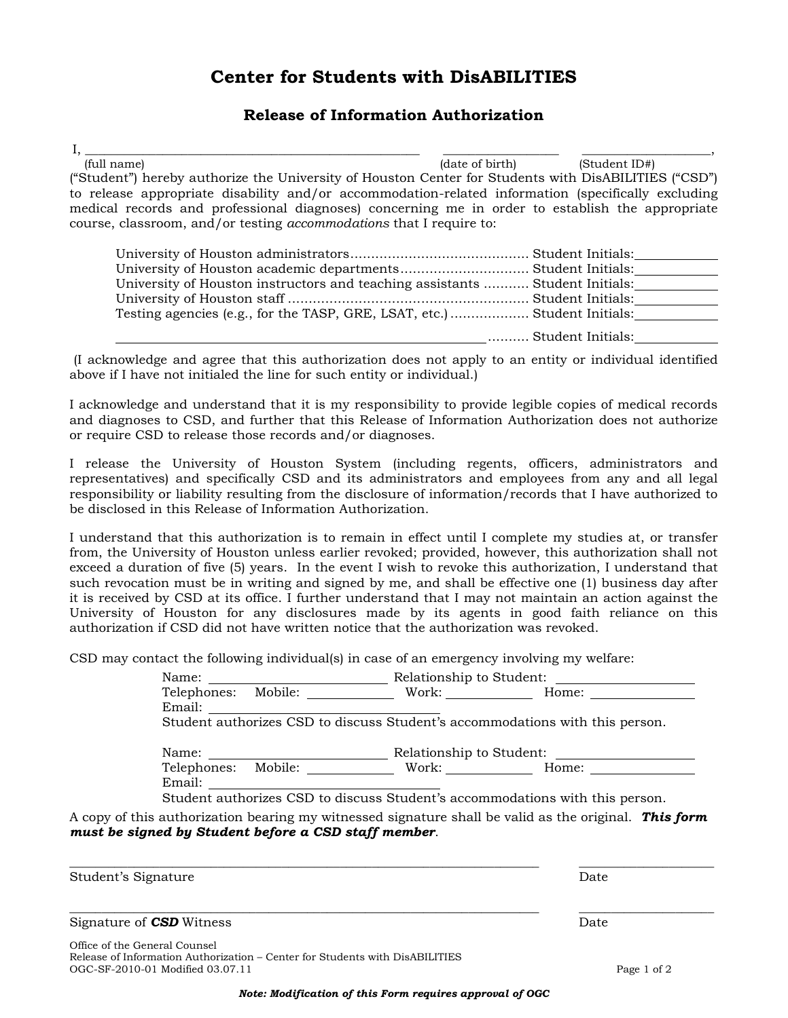# **Center for Students with DisABILITIES**

### **Release of Information Authorization**

I, \_\_\_\_\_\_\_\_\_\_\_\_\_\_\_\_\_\_\_\_\_\_\_\_\_\_\_\_\_\_\_\_\_\_\_\_\_\_\_\_\_\_\_\_\_\_\_\_\_\_\_\_ \_\_\_\_\_\_\_\_\_\_\_\_\_\_\_\_\_\_ \_\_\_\_\_\_\_\_\_\_\_\_\_\_\_\_\_\_\_\_, (full name) (date of birth) (Student ID#) ("Student") hereby authorize the University of Houston Center for Students with DisABILITIES ("CSD") to release appropriate disability and/or accommodation-related information (specifically excluding medical records and professional diagnoses) concerning me in order to establish the appropriate course, classroom, and/or testing *accommodations* that I require to:

| University of Houston academic departments Student Initials:                 |                   |
|------------------------------------------------------------------------------|-------------------|
| University of Houston instructors and teaching assistants  Student Initials: |                   |
|                                                                              |                   |
| Testing agencies (e.g., for the TASP, GRE, LSAT, etc.)  Student Initials:    |                   |
|                                                                              | Student Initials: |

(I acknowledge and agree that this authorization does not apply to an entity or individual identified above if I have not initialed the line for such entity or individual.)

I acknowledge and understand that it is my responsibility to provide legible copies of medical records and diagnoses to CSD, and further that this Release of Information Authorization does not authorize or require CSD to release those records and/or diagnoses.

I release the University of Houston System (including regents, officers, administrators and representatives) and specifically CSD and its administrators and employees from any and all legal responsibility or liability resulting from the disclosure of information/records that I have authorized to be disclosed in this Release of Information Authorization.

I understand that this authorization is to remain in effect until I complete my studies at, or transfer from, the University of Houston unless earlier revoked; provided, however, this authorization shall not exceed a duration of five (5) years. In the event I wish to revoke this authorization, I understand that such revocation must be in writing and signed by me, and shall be effective one (1) business day after it is received by CSD at its office. I further understand that I may not maintain an action against the University of Houston for any disclosures made by its agents in good faith reliance on this authorization if CSD did not have written notice that the authorization was revoked.

CSD may contact the following individual(s) in case of an emergency involving my welfare:

|                                                                              | Relationship to Student:<br><u> 1980 - Andrea Aonaich an t-Aonaich an t-Aonaich an t-Aonaich an t-Aonaich an t-Aonaich an t-Aonaich an t-Aon</u> |                       |                       |  |
|------------------------------------------------------------------------------|--------------------------------------------------------------------------------------------------------------------------------------------------|-----------------------|-----------------------|--|
|                                                                              | Telephones: Mobile:                                                                                                                              | Work: $\qquad \qquad$ | Home: $\qquad \qquad$ |  |
| Email:                                                                       |                                                                                                                                                  |                       |                       |  |
| Student authorizes CSD to discuss Student's accommodations with this person. |                                                                                                                                                  |                       |                       |  |
|                                                                              |                                                                                                                                                  |                       |                       |  |
|                                                                              | Relationship to Student:                                                                                                                         |                       |                       |  |
|                                                                              | Telephones: Mobile:                                                                                                                              |                       | Work: Home:           |  |
| Email:                                                                       |                                                                                                                                                  |                       |                       |  |
| Student authorizes CSD to discuss Student's accommodations with this person. |                                                                                                                                                  |                       |                       |  |

A copy of this authorization bearing my witnessed signature shall be valid as the original. *This form must be signed by Student before a CSD staff member*.

 $\Box$ 

Student's Signature Date Date of the Student's Signature Date Date Date Date of the Date of the Date of the Date of the Date of the Date of the Date of the Date of the Date of the Date of the Date of the Date of the Date o

#### \_\_\_\_\_\_\_\_\_\_\_\_\_\_\_\_\_\_\_\_\_\_\_\_\_\_\_\_\_\_\_\_\_\_\_\_\_\_\_\_\_\_\_\_\_\_\_\_\_\_\_\_\_\_\_\_\_\_\_\_\_\_\_\_\_\_\_\_\_\_\_\_\_ \_\_\_\_\_\_\_\_\_\_\_\_\_\_\_\_\_\_\_\_\_ Signature of **CSD** Witness Date Date Date Date Date Date Date

Office of the General Counsel Release of Information Authorization – Center for Students with DisABILITIES OGC-SF-2010-01 Modified 03.07.11 Page 1 of 2